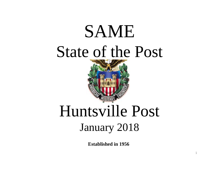# SAME State of the Post



## Huntsville Post January 2018

**Established in 1956**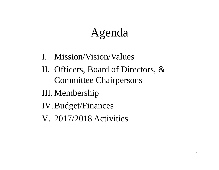## Agenda

- I. Mission/Vision/Values
- II. Officers, Board of Directors, & Committee Chairpersons
- III. Membership
- IV.Budget/Finances
- V. 2017/2018 Activities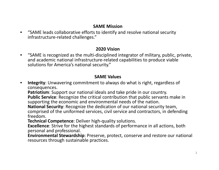#### **SAME Mission**

• "SAME leads collaborative efforts to identify and resolve national security infrastructure‐related challenges."

#### **2020 Vision**

• "SAME is recognized as the multi‐disciplined integrator of military, public, private, and academic national infrastructure‐related capabilities to produce viable solutions for America's national security."

#### **SAME Values**

• **Integrity**: Unwavering commitment to always do what is right, regardless of consequences.

**Patriotism**: Support our national ideals and take pride in our country. **Public Service**: Recognize the critical contribution that public servants make in

supporting the economic and environmental needs of the nation.

**National Security**: Recognize the dedication of our national security team, comprised of the uniformed services, civil service and contractors, in defending

freedom.

**Technical Competence**: Deliver high‐quality solutions.

**Excellence**: Strive for the highest standards of performance in all actions, both personal and professional.

**Environmental Stewardship**: Preserve, protect, conserve and restore our national resources through sustainable practices.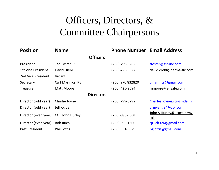### Officers, Directors, & Committee Chairpersons

| <b>Position</b>           | <b>Name</b>              | <b>Phone Number Email Address</b> |                                  |
|---------------------------|--------------------------|-----------------------------------|----------------------------------|
|                           | <b>Officers</b>          |                                   |                                  |
| President                 | Ted Foster, PE           | (256) 799-0262                    | tfoster@ssr-inc.com              |
| <b>1st Vice President</b> | David Diehl              | (256) 425-3627                    | david.diehl@perma-fix.com        |
| 2nd Vice President        | Vacant                   |                                   |                                  |
| Secretary                 | <b>Carl Marinics, PE</b> | (256) 970 832820                  | cmarinics@gmail.com              |
| <b>Treasurer</b>          | <b>Matt Moore</b>        | (256) 425-2594                    | mmoore@ensafe.com                |
|                           | <b>Directors</b>         |                                   |                                  |
| Director (odd year)       | Charlie Joyner           | (256) 799-3292                    | Charles.joyner.ctr@mda.mil       |
| Director (odd year)       | Jeff Ogden               |                                   | armyeng84@aol.com                |
| Director (even year)      | <b>COL John Hurley</b>   | $(256) - 895 - 1301$              | John.S.Hurley@usace.army.<br>mil |
| Director (even year)      | <b>Bob Ruch</b>          | (256) 895-1300                    | rjruch326@gmail.com              |
| Past President            | <b>Phil Loftis</b>       | (256) 651-9829                    | pgloftis@gmail.com               |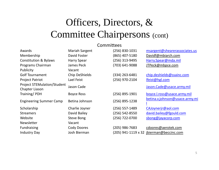### Officers, Directors, & Committee Chairpersons (cont)

#### **Committees**

| Awards                                               | <b>Mariah Sargent</b> | (256) 830-1031   | msargent@shearerassociates.us            |
|------------------------------------------------------|-----------------------|------------------|------------------------------------------|
| Membership                                           | David Foster          | (865) 407-5180   | Davidf@mbiarch.com                       |
| <b>Constitution &amp; Bylaws</b>                     | <b>Harry Spear</b>    | (256) 313-9495   | Harry.Spear@mda.mil                      |
| Programs Chairman                                    | James Peck            | (703) 641-9088   | JTPeck@mbpce.com                         |
| Publicity                                            | Vacant                |                  |                                          |
| <b>Golf Tournament</b>                               | Chip DeShields        | (334) 263-6481   | chip.deshields@ssainc.com                |
| <b>Project Patriot</b>                               | Lael Feist            | (256) 970-2104   | lfeist@hgl.com                           |
| <b>Project STEMulation/Student</b><br>Chapter Liason | Jason Cade            |                  | Jason.Cade@usace.army.mil                |
| Training/PDH                                         | <b>Boyce Ross</b>     | (256) 895-1901   | boyce.l.ross@usace.army.mil              |
| <b>Engineering Summer Camp</b>                       | Betina Johnson        | (256) 895-1238   | betina.v.johnson@usace.army.mi           |
| Scholarship                                          | Charlie Joyner        | (256) 557-1489   | CAJoynerjr@aol.com                       |
| <b>Streamers</b>                                     | David Bailey          | (256) 542-8550   | david.bailey@fgould.com                  |
| Website                                              | Steve Bong            | (256) 722-0700   | sbong@jayacorp.com                       |
| Newsletter                                           | Vacant                |                  |                                          |
| <b>Fundraising</b>                                   | <b>Cody Doores</b>    | $(205)$ 986-7683 | cdoores@aerotek.com                      |
| <b>Industry Day</b>                                  | Josh Bierman          |                  | (205) 941-1119 x 32 jbierman@beccinc.com |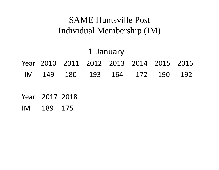### SAME Huntsville Post Individual Membership (IM)

#### 1 January Year 2010 2011 2012 2013 2014 2015 2016 IM 149180 193 164 172 190 192

- Year 2017 2018
- IM 189 175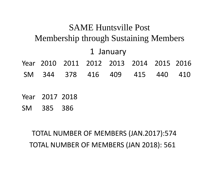### SAME Huntsville Post Membership through Sustaining Members 1 January Year 2010 2011 2012 2013 2014 2015 2016 SM 344 378 416 409 415 440 410

- Year 2017 2018
- SM 385 386

TOTAL NUMBER OF MEMBERS (JAN.2017):574 TOTAL NUMBER OF MEMBERS (JAN 2018): 561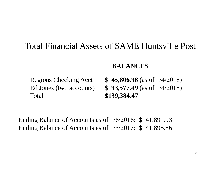### Total Financial Assets of SAME Huntsville Post

#### **BALANCES**

Total **\$139,384.47**

Regions Checking Acct **\$ 45,806.98** (as of 1/4/2018) Ed Jones (two accounts) **\$ 93,577.49** (as of 1/4/2018)

Ending Balance of Accounts as of 1/6/2016: \$141,891.93 Ending Balance of Accounts as of 1/3/2017: \$141,895.86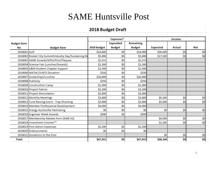#### SAME Huntsville Post

#### 2018 Budget Draft

|                    |                                                     | Expenses*   |                 |               | Income          |        |     |  |
|--------------------|-----------------------------------------------------|-------------|-----------------|---------------|-----------------|--------|-----|--|
| <b>Budget Item</b> |                                                     |             | <b>Expended</b> | Remaining     |                 |        |     |  |
| No                 | <b>Budget Item</b>                                  | 2018 Budget | <b>Budget</b>   | <b>Budget</b> | <b>Expected</b> | Actual | Net |  |
| 2018001 Golf       |                                                     | \$14,000    | \$0             | \$14,000      | \$30,000        | \$0    | \$0 |  |
|                    | 2018002 Rocket City SummitIndustry Day/Sustaining M | \$5,000     | \$0             | \$5,000       | \$17,500        | \$0    | \$0 |  |
|                    | 2018003 SAME Awards/Gifts/Pins/Plaques              | \$2,515     | \$0             | \$2,515       |                 |        |     |  |
|                    | 2018004 Science Fair (Lunches/Awards)               | \$1,300     | \$0             | \$1,300       |                 |        |     |  |
|                    | 2018005 A&M Student Chapter Support                 | \$1,500     | \$0             | \$1,500       |                 |        |     |  |
|                    | 2018006 MATHCOUNTS Donation                         | \$350       | \$0             | \$350         |                 |        |     |  |
|                    | 2018007 Scolarships/Lunches                         | \$24,000    | \$0             | \$24,000      |                 |        |     |  |
|                    | 2018008 Publicity                                   | \$250       | \$0             | \$250         |                 |        |     |  |
|                    | 2018009 Construction Camp                           | \$1,000     | \$0             | \$1,000       |                 |        |     |  |
|                    | 2018010 Project Patriot                             | \$3,200     | \$0             | \$3,200       |                 |        |     |  |
|                    | 2018011 Project Stemulation                         | \$2,000     | \$0             | \$2,000       |                 |        |     |  |
|                    | 2018012 Monthly Meetings                            | \$3,800     | \$0             | \$3,800       | \$9,360         | \$0    | \$0 |  |
|                    | 2018013 Fund Raising Event - Trap Shooting          | \$2,000     | \$0             | \$2,000       | \$5,000         | \$0    | \$0 |  |
|                    | 2018014 Member Professional Development             | \$4,000     | \$0             | \$4,000       |                 |        |     |  |
|                    | 2018015 Energy Huntsville Partnering                | \$0         | \$0             | \$0           | \$0             | \$0    | \$0 |  |
|                    | 2018016 Engineer Week Awards                        | \$500       | \$0             | \$500         |                 |        |     |  |
|                    | 2018017 Membership Rebate from SAME HQ              |             |                 |               | \$4,000         | \$0    | \$0 |  |
|                    | 2018018 Investment Income**                         |             |                 |               | \$2,500         | \$0    | \$0 |  |
|                    | 2018019 Post Admin Expenses                         | \$2,500     | \$0             | \$2,500       |                 |        |     |  |
|                    | 2018020 Endownments                                 | \$0         | \$0             | \$0           |                 |        |     |  |
|                    | 2018021 Donations to the Post                       |             |                 |               | \$0             | \$0    | \$0 |  |
| <b>Total</b>       |                                                     | \$67,915    | \$0             | \$67,915      | \$68,360        | \$0    | \$0 |  |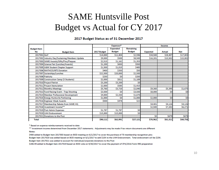### SAME Huntsville Post Budget vs Actual for CY 2017

#### 2017 Budget Status as of 31 December 2017

|                    |                                                | Expenses*   |                 | Income           |                 |               |            |
|--------------------|------------------------------------------------|-------------|-----------------|------------------|-----------------|---------------|------------|
| <b>Budget Item</b> |                                                |             | <b>Expended</b> | <b>Remaining</b> |                 |               |            |
| No                 | <b>Budget Item</b>                             | 2017 Budget | <b>Budget</b>   | <b>Budget</b>    | <b>Expected</b> | <b>Actual</b> | <b>Net</b> |
| 2017001 Golf       |                                                | \$14,000    | \$11,404        | \$2,596          | \$34,500        | \$28,407      | \$17,003   |
|                    | 2017002 Industry Day/Sustaining Members Update | \$9,000     | \$500           | \$8,500          | \$16,201        | \$15,502      | \$15,002   |
|                    | 2017003 SAME Awards/Gifts/Pins/Plagues         | \$2,515     | \$1,162         | \$1,353          |                 |               |            |
|                    | 2017004 Science Fair (Lunches/Awards)          | \$1,200     | \$650           | \$550            |                 |               |            |
|                    | 2017005 A&M Student Chapter Support            | \$1,500     | \$1,015         | \$485            |                 |               |            |
|                    | 2017006 MATHCOUNTS Donation                    | \$400       | \$350           | \$50             |                 |               |            |
|                    | 2017007 Scolarships/Lunches                    | \$22,500    | \$20,000        | \$2,500          |                 |               |            |
|                    | 2017008 Publicity                              | \$250       | \$O             | \$250            |                 |               |            |
|                    | 2017009 Construction Camp (3 Students)         | \$2,000     | \$811           | \$1,189          |                 |               |            |
|                    | 2017010 Project Patriot                        | \$3,200     | \$3,200         | \$0              |                 |               |            |
|                    | 2017011 Project Stemulation                    | \$2,000     | \$585           | \$1,415          |                 |               |            |
|                    | 2017012 Monthly Meetings                       | \$5,760     | \$3,720         | \$2,040          | \$9,360         | \$5,395       | \$1,675    |
|                    | 2017013 Fund Raising Event - Trap Shooting     | \$3,500     | SO.             | \$3,500          | \$8,000         | \$0           | \$0        |
|                    | 2017014 Member Professional Development        | \$4,000     | \$2,330         | \$1,670          |                 |               |            |
|                    | 2017015 Energy Huntsville Partnering           | \$1,000     | \$O             | \$1,000          | \$2,000         | \$0           | \$0        |
|                    | 2017016 Engineer Week Awards                   | \$500       | <b>S478</b>     | \$22             |                 |               |            |
|                    | 2017017 Membership Rebate from SAME HQ         |             |                 |                  | \$4,401         | \$4,126       | \$4,126    |
|                    | 2017018 Investment Income**                    |             |                 |                  | \$2,500         | \$7,202       | \$6,271    |
|                    | 2017019 Post Admin Expenses                    | \$1,787     | \$1,787         | \$0              |                 |               |            |
|                    | 2017020 UAH Endownment                         | \$15,000    | \$15,000        | \$0              |                 |               |            |
|                    | 2017021 Donations to the Post                  |             |                 |                  | \$O             | \$679         | \$679      |
| <b>Total</b>       |                                                | \$90,112    | \$62,991        | \$27,121         | \$76,962        | \$61,311      | \$44,756   |

\* Based on expense reimbursements received to date

\*\* Investment income determined from December 2017 statements. Adjustments may be made if tax return documents are different Notes:

\$400 added to Budget Item 2017003 based on BOD meeting on 6/1/2017 to cover the purchase of 70 membership recognition pins Budget Item 2017020 was added based on BOD meeting on 6/1/2017 to add \$15K to the UAH Endownment. Total endowment will be \$25K. Budget Item 2017021 was added to account for individual/corporate donations to the Post

\$286.94 added to Budget Item 2017019 based on BOD vote on 9/30/2017 to cover the payment of CPA/2016 Form 990 preparation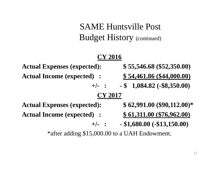SAME Huntsville Post Budget History (continued)

#### **CY 2016**

**Actual Expenses (expected): \$ 55,546.68 (\$52,350.00) Actual Income (expected) : \$ 54,461.86 (\$44,000.00) +/- : - \$ 1,084.82 (-\$8,350.00) CY 2017 Actual Expenses (expected): \$ 62,991.00 (\$90,112.00)\* Actual Income (expected) : \$ 61,311.00 (\$76,962.00) +/- : - \$1,680.00 (-\$13,150.00)**

\*after adding \$15,000.00 to a UAH Endowment.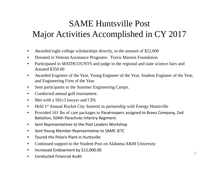### SAME Huntsville Post Major Activities Accomplished in CY 2017

- $\bullet$ Awarded eight college scholarships directly, in the amount of \$22,000
- $\bullet$ Donated to Veteran Assistance Programs: Travis Manion Foundation
- $\bullet$  Participated in MATHCOUNTS and judge in the regional and state science fairs and donated \$350.00
- $\bullet$  Awarded Engineer of the Year, Young Engineer of the Year, Student Engineer of the Year, and Engineering Firm of the Year.
- $\bullet$ Sent participants to the Summer Engineering Camps.
- $\bullet$ Conducted annual golf tournament.
- $\bullet$ Met with a 501c3 lawyer and CPA
- $\bullet$ Held 1st Annual Rocket City Summit in partnership with Energy Huntsville
- $\bullet$  Provided 161 lbs of care packages to Paratroopers assigned to Bravo Company, 2nd Battalion, 504th Parachute Infantry Regiment.
- $\bullet$ Sent Representatives to the Post Leaders Workshop
- $\bullet$ Sent Young Member Representative to SAME JETC
- $\bullet$ **•** Toured the Polaris Plant in Huntsville
- $\bullet$ Continued support to the Student Post on Alabama A&M University
- $\bullet$ • Increased Endowment by \$15,000.00
- •**•** Conducted Financial Audit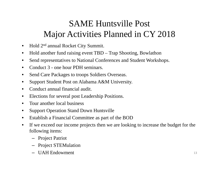### SAME Huntsville Post Major Activities Planned in CY 2018

- $\bullet$ Hold 2n<sup>d</sup> annual Rocket City Summit.
- $\bullet$ Hold another fund raising event TBD – Trap Shooting, Bowlathon
- $\bullet$ Send representatives to National Conferences and Student Workshops.
- $\bullet$ Conduct 3 - one hour PDH seminars.
- $\bullet$ Send Care Packages to troops Soldiers Overseas.
- $\bullet$ Support Student Post on Alabama A&M University.
- •Conduct annual financial audit.
- •Elections for several post Leadership Positions.
- $\bullet$ Tour another local business
- $\bullet$ Support Operation Stand Down Huntsville
- $\bullet$ Establish a Financial Committee as part of the BOD
- $\bullet$  If we exceed our income projects then we are looking to increase the budget for the following items:
	- Project Patriot
	- Project STEMulation
	- UAH Endowment <sup>13</sup>